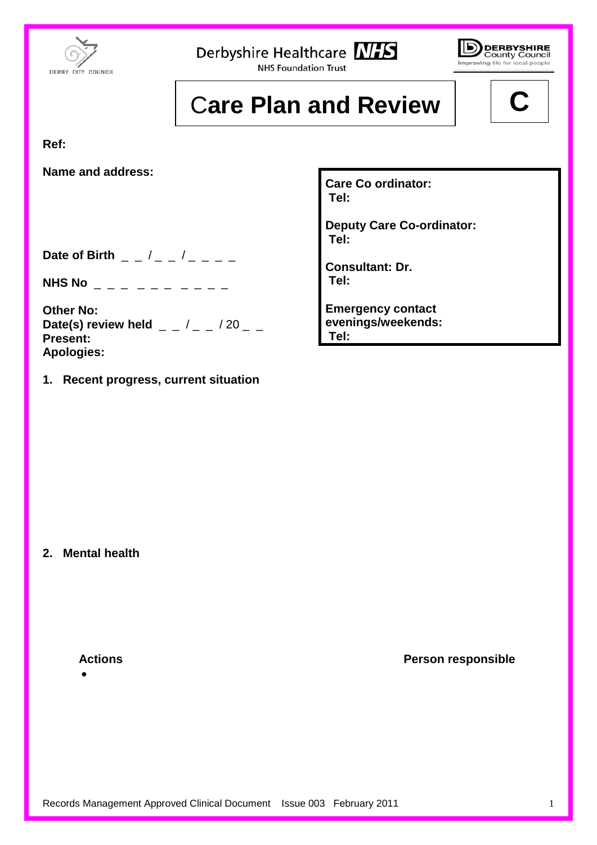

Derbyshire Healthcare NHS

**NHS Foundation Trust** 



## **Care Plan and Review**

**Ref:**

**Name and address:**

**Care Co ordinator: Tel:**

**Deputy Care Co-ordinator: Tel:**

**Consultant: Dr. Tel:** 

**Emergency contact evenings/weekends: Tel:**

**Date of Birth \_ \_ /\_ \_ /\_ \_ \_ \_** 

**NHS No**  $\qquad$   $\qquad$   $\qquad$   $\qquad$   $\qquad$   $\qquad$   $\qquad$   $\qquad$   $\qquad$   $\qquad$   $\qquad$   $\qquad$   $\qquad$   $\qquad$   $\qquad$   $\qquad$   $\qquad$   $\qquad$   $\qquad$   $\qquad$   $\qquad$   $\qquad$   $\qquad$   $\qquad$   $\qquad$   $\qquad$   $\qquad$   $\qquad$   $\qquad$   $\qquad$   $\qquad$   $\qquad$   $\qquad$   $\qquad$   $\qquad$   $\q$ 

**Other No: Date(s) review held**  $/$   $/$  20  $-$ **Present: Apologies:**

**1. Recent progress, current situation** 

**2. Mental health**

•

**Actions Person responsible**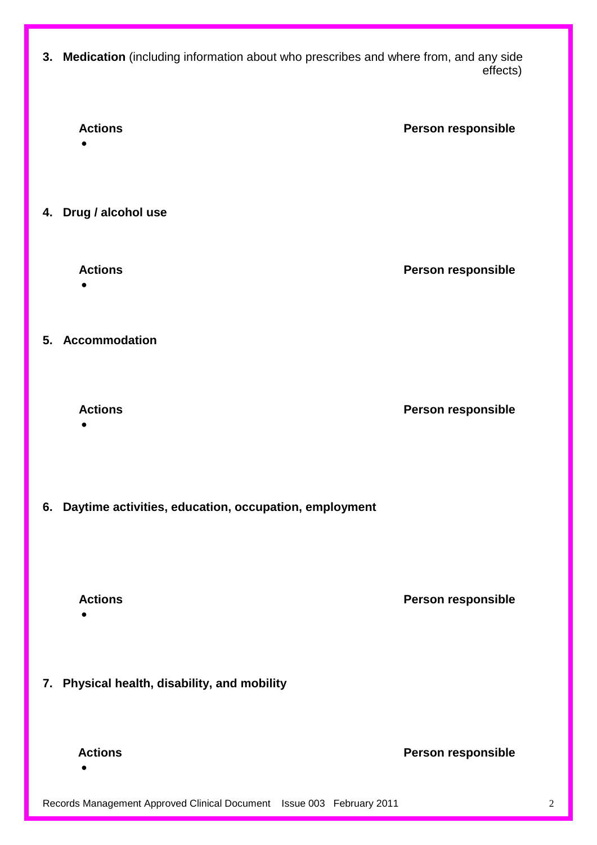**3. Medication** (including information about who prescribes and where from, and any side effects) and the contract of the contract of the contract of the contract of the contract of the contract of t



Records Management Approved Clinical Document Issue 003 February 2011 22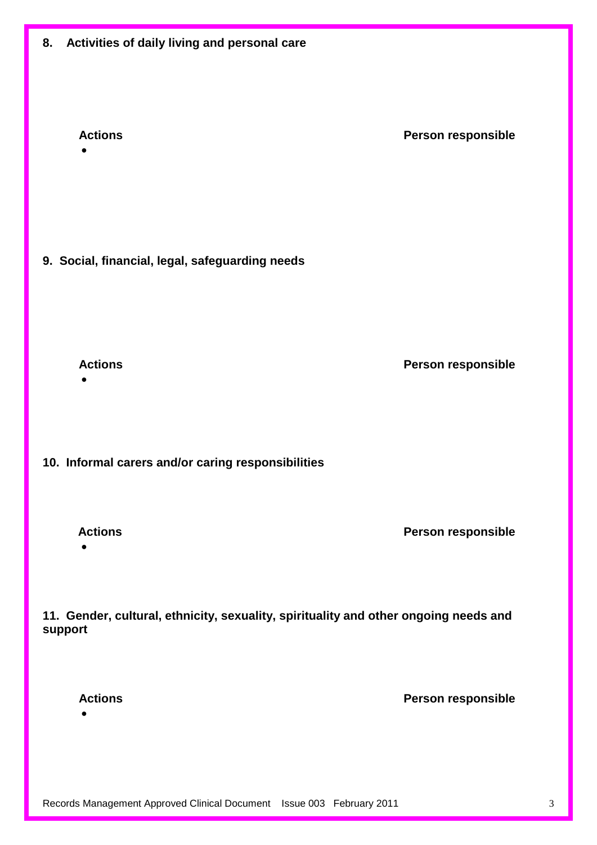| Activities of daily living and personal care<br>8.                                              |                    |  |
|-------------------------------------------------------------------------------------------------|--------------------|--|
| <b>Actions</b><br>$\bullet$                                                                     | Person responsible |  |
| 9. Social, financial, legal, safeguarding needs                                                 |                    |  |
| <b>Actions</b>                                                                                  | Person responsible |  |
| 10. Informal carers and/or caring responsibilities                                              |                    |  |
| <b>Actions</b><br>$\bullet$                                                                     | Person responsible |  |
| 11. Gender, cultural, ethnicity, sexuality, spirituality and other ongoing needs and<br>support |                    |  |
| <b>Actions</b>                                                                                  | Person responsible |  |
|                                                                                                 |                    |  |

Records Management Approved Clinical Document Issue 003 February 2011 3